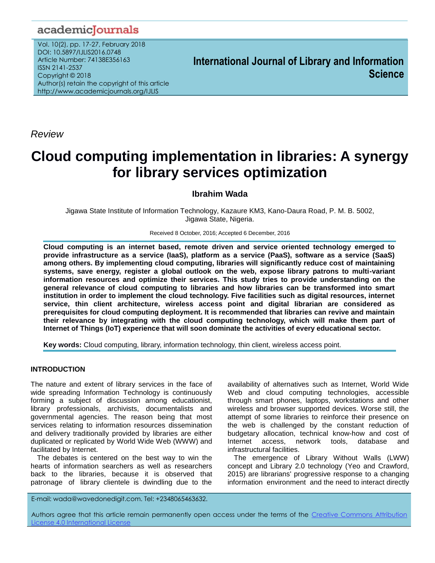# academicJournals

Vol. 10(2), pp. 17-27, February 2018 DOI: 10.5897/IJLIS2016.0748 Article Number: 74138E356163 ISSN 2141-2537 Copyright © 2018 Author(s) retain the copyright of this article http://www.academicjournals.org/IJLIS

**International Journal of Library and Information Science**

*Review*

# **Cloud computing implementation in libraries: A synergy for library services optimization**

# **Ibrahim Wada**

Jigawa State Institute of Information Technology, Kazaure KM3, Kano-Daura Road, P. M. B. 5002, Jigawa State, Nigeria.

#### Received 8 October, 2016; Accepted 6 December, 2016

**Cloud computing is an internet based, remote driven and service oriented technology emerged to provide infrastructure as a service (IaaS), platform as a service (PaaS), software as a service (SaaS) among others. By implementing cloud computing, libraries will significantly reduce cost of maintaining systems, save energy, register a global outlook on the web, expose library patrons to multi-variant information resources and optimize their services. This study tries to provide understanding on the general relevance of cloud computing to libraries and how libraries can be transformed into smart institution in order to implement the cloud technology. Five facilities such as digital resources, internet service, thin client architecture, wireless access point and digital librarian are considered as prerequisites for cloud computing deployment. It is recommended that libraries can revive and maintain their relevance by integrating with the cloud computing technology, which will make them part of Internet of Things (IoT) experience that will soon dominate the activities of every educational sector.**

**Key words:** Cloud computing, library, information technology, thin client, wireless access point.

### **INTRODUCTION**

The nature and extent of library services in the face of wide spreading Information Technology is continuously forming a subject of discussion among educationist, library professionals, archivists, documentalists and governmental agencies. The reason being that most services relating to information resources dissemination and delivery traditionally provided by libraries are either duplicated or replicated by World Wide Web (WWW) and facilitated by Internet.

The debates is centered on the best way to win the hearts of information searchers as well as researchers back to the libraries, because it is observed that patronage of library clientele is dwindling due to the

availability of alternatives such as Internet, World Wide Web and cloud computing technologies, accessible through smart phones, laptops, workstations and other wireless and browser supported devices. Worse still, the attempt of some libraries to reinforce their presence on the web is challenged by the constant reduction of budgetary allocation, technical know-how and cost of Internet access, network tools, database and infrastructural facilities.

The emergence of Library Without Walls (LWW) concept and Library 2.0 technology (Yeo and Crawford, 2015) are librarians' progressive response to a changing information environment and the need to interact directly

E-mail: wada@wavedonedigit.com. Tel: +2348065463632.

Authors agree that this article remain permanently open access under the terms of the Creative Commons Attribution [License 4.0 International License](http://creativecommons.org/licenses/by/4.0/deed.en_US)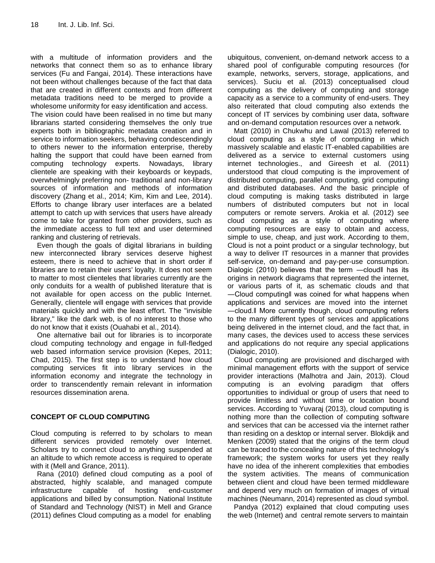with a multitude of information providers and the networks that connect them so as to enhance library services (Fu and Fangai, 2014). These interactions have not been without challenges because of the fact that data that are created in different contexts and from different metadata traditions need to be merged to provide a wholesome uniformity for easy identification and access.

The vision could have been realised in no time but many librarians started considering themselves the only true experts both in bibliographic metadata creation and in service to information seekers, behaving condescendingly to others newer to the information enterprise, thereby halting the support that could have been earned from computing technology experts. Nowadays, library clientele are speaking with their keyboards or keypads, overwhelmingly preferring non- traditional and non-library sources of information and methods of information discovery (Zhang et al., 2014; Kim, Kim and Lee, 2014). Efforts to change library user interfaces are a belated attempt to catch up with services that users have already come to take for granted from other providers, such as the immediate access to full text and user determined ranking and clustering of retrievals.

Even though the goals of digital librarians in building new interconnected library services deserve highest esteem, there is need to achieve that in short order if libraries are to retain their users' loyalty. It does not seem to matter to most clienteles that libraries currently are the only conduits for a wealth of published literature that is not available for open access on the public Internet. Generally, clientele will engage with services that provide materials quickly and with the least effort. The "invisible library," like the dark web, is of no interest to those who do not know that it exists (Ouahabi et al., 2014).

One alternative bail out for libraries is to incorporate cloud computing technology and engage in full-fledged web based information service provision (Kepes, 2011; Chad, 2015). The first step is to understand how cloud computing services fit into library services in the information economy and integrate the technology in order to transcendently remain relevant in information resources dissemination arena.

# **CONCEPT OF CLOUD COMPUTING**

Cloud computing is referred to by scholars to mean different services provided remotely over Internet. Scholars try to connect cloud to anything suspended at an altitude to which remote access is required to operate with it (Mell and Grance, 2011).

Rana (2010) defined cloud computing as a pool of abstracted, highly scalable, and managed compute infrastructure capable of hosting end-customer applications and billed by consumption. National Institute of Standard and Technology (NIST) in Mell and Grance (2011) defines Cloud computing as a model for enabling

ubiquitous, convenient, on-demand network access to a shared pool of configurable computing resources (for example, networks, servers, storage, applications, and services). Suciu et al. (2013) conceptualised cloud computing as the delivery of computing and storage capacity as a service to a community of end-users. They also reiterated that cloud computing also extends the concept of IT services by combining user data, software and on-demand computation resources over a network.

Matt (2010) in Chukwhu and Lawal (2013) referred to cloud computing as a style of computing in which massively scalable and elastic IT-enabled capabilities are delivered as a service to external customers using internet technologies., and Gireesh et al. (2011) understood that cloud computing is the improvement of distributed computing, parallel computing, grid computing and distributed databases. And the basic principle of cloud computing is making tasks distributed in large numbers of distributed computers but not in local computers or remote servers. Arokia et al. (2012) see cloud computing as a style of computing where computing resources are easy to obtain and access, simple to use, cheap, and just work. According to them, Cloud is not a point product or a singular technology, but a way to deliver IT resources in a manner that provides self-service, on-demand and pay-per-use consumption. Dialogic (2010) believes that the term ―cloud‖ has its origins in network diagrams that represented the internet, or various parts of it, as schematic clouds and that ―Cloud computing‖ was coined for what happens when applications and services are moved into the internet ―cloud.‖ More currently though, cloud computing refers to the many different types of services and applications being delivered in the internet cloud, and the fact that, in many cases, the devices used to access these services and applications do not require any special applications (Dialogic, 2010).

Cloud computing are provisioned and discharged with minimal management efforts with the support of service provider interactions (Malhotra and Jain, 2013). Cloud computing is an evolving paradigm that offers opportunities to individual or group of users that need to provide limitless and without time or location bound services. According to Yuvaraj (2013), cloud computing is nothing more than the collection of computing software and services that can be accessed via the internet rather than residing on a desktop or internal server. Blokdijk and Menken (2009) stated that the origins of the term cloud can be traced to the concealing nature of this technology's framework; the system works for users yet they really have no idea of the inherent complexities that embodies the system activities. The means of communication between client and cloud have been termed middleware and depend very much on formation of images of virtual machines (Neumann, 2014) represented as cloud symbol.

Pandya (2012) explained that cloud computing uses the web (Internet) and central remote servers to maintain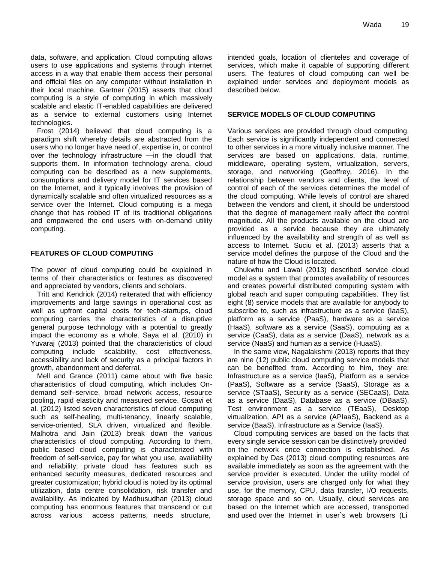data, software, and application. Cloud computing allows users to use applications and systems through internet access in a way that enable them access their personal and official files on any computer without installation in their local machine. Gartner (2015) asserts that cloud computing is a style of computing in which massively scalable and elastic IT-enabled capabilities are delivered as a service to external customers using Internet technologies.

Frost (2014) believed that cloud computing is a paradigm shift whereby details are abstracted from the users who no longer have need of, expertise in, or control over the technology infrastructure ―in the cloud‖ that supports them. In information technology arena, cloud computing can be described as a new supplements, consumptions and delivery model for IT services based on the Internet, and it typically involves the provision of dynamically scalable and often virtualized resources as a service over the Internet. Cloud computing is a mega change that has robbed IT of its traditional obligations and empowered the end users with on-demand utility computing.

### **FEATURES OF CLOUD COMPUTING**

The power of cloud computing could be explained in terms of their characteristics or features as discovered and appreciated by vendors, clients and scholars.

Tritt and Kendrick (2014) reiterated that with efficiency improvements and large savings in operational cost as well as upfront capital costs for tech-startups, cloud computing carries the characteristics of a disruptive general purpose technology with a potential to greatly impact the economy as a whole. Saya et al. (2010) in Yuvaraj (2013) pointed that the characteristics of cloud computing include scalability, cost effectiveness, accessibility and lack of security as a principal factors in growth, abandonment and deferral.

Mell and Grance (2011) came about with five basic characteristics of cloud computing, which includes Ondemand self–service, broad network access, resource pooling, rapid elasticity and measured service. Gosavi et al. (2012) listed seven characteristics of cloud computing such as self-healing, multi-tenancy, linearly scalable, service-oriented, SLA driven, virtualized and flexible. Malhotra and Jain (2013) break down the various characteristics of cloud computing. According to them, public based cloud computing is characterized with freedom of self-service, pay for what you use, availability and reliability; private cloud has features such as enhanced security measures, dedicated resources and greater customization; hybrid cloud is noted by its optimal utilization, data centre consolidation, risk transfer and availability. As indicated by Madhusudhan (2013) cloud computing has enormous features that transcend or cut across various access patterns, needs structure,

intended goals, location of clienteles and coverage of services, which make it capable of supporting different users. The features of cloud computing can well be explained under services and deployment models as described below.

### **SERVICE MODELS OF CLOUD COMPUTING**

Various services are provided through cloud computing. Each service is significantly independent and connected to other services in a more virtually inclusive manner. The services are based on applications, data, runtime, middleware, operating system, virtualization, servers, storage, and networking (Geoffrey, 2016). In the relationship between vendors and clients, the level of control of each of the services determines the model of the cloud computing. While levels of control are shared between the vendors and client, it should be understood that the degree of management really affect the control magnitude. All the products available on the cloud are provided as a service because they are ultimately influenced by the availability and strength of as well as access to Internet. Suciu et al. (2013) asserts that a service model defines the purpose of the Cloud and the nature of how the Cloud is located.

Chukwhu and Lawal (2013) described service cloud model as a system that promotes availability of resources and creates powerful distributed computing system with global reach and super computing capabilities. They list eight (8) service models that are available for anybody to subscribe to, such as infrastructure as a service (IaaS), platform as a service (PaaS), hardware as a service (HaaS), software as a service (SaaS), computing as a service (CaaS), data as a service (DaaS), network as a service (NaaS) and human as a service (HuaaS).

In the same view, Nagalakshmi (2013) reports that they are nine (12) public cloud computing service models that can be benefited from. According to him, they are: Infrastructure as a service (IaaS), Platform as a service (PaaS), Software as a service (SaaS), Storage as a service (STaaS), Security as a service (SECaaS), Data as a service (DaaS), Database as a service (DBaaS), Test environment as a service (TEaaS), Desktop virtualization, API as a service (APIaaS), Backend as a service (BaaS), Infrastructure as a Service (IaaS).

Cloud computing services are based on the facts that every single service session can be distinctively provided on the network once connection is established. As explained by Das (2013) cloud computing resources are available immediately as soon as the agreement with the service provider is executed. Under the utility model of service provision, users are charged only for what they use, for the memory, CPU, data transfer, I/O requests, storage space and so on. Usually, cloud services are based on the Internet which are accessed, transported and used over the Internet in user`s web browsers (Li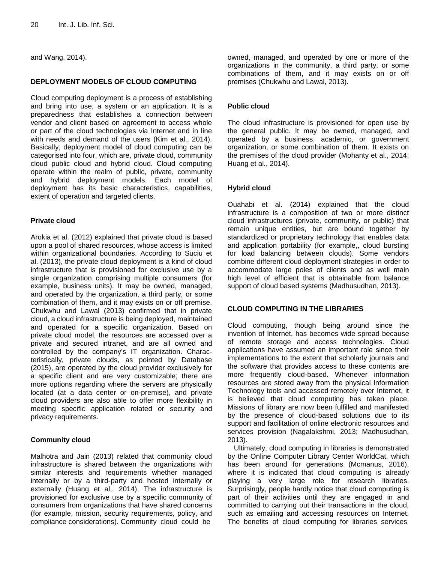and Wang, 2014).

# **DEPLOYMENT MODELS OF CLOUD COMPUTING**

Cloud computing deployment is a process of establishing and bring into use, a system or an application. It is a preparedness that establishes a connection between vendor and client based on agreement to access whole or part of the cloud technologies via Internet and in line with needs and demand of the users (Kim et al., 2014). Basically, deployment model of cloud computing can be categorised into four, which are, private cloud, community cloud public cloud and hybrid cloud. Cloud computing operate within the realm of public, private, community and hybrid deployment models. Each model of deployment has its basic characteristics, capabilities, extent of operation and targeted clients.

### **Private cloud**

Arokia et al. (2012) explained that private cloud is based upon a pool of shared resources, whose access is limited within organizational boundaries. According to Suciu et al. (2013), the private cloud deployment is a kind of cloud infrastructure that is provisioned for exclusive use by a single organization comprising multiple consumers (for example, business units). It may be owned, managed, and operated by the organization, a third party, or some combination of them, and it may exists on or off premise. Chukwhu and Lawal (2013) confirmed that in private cloud, a cloud infrastructure is being deployed, maintained and operated for a specific organization. Based on private cloud model, the resources are accessed over a private and secured intranet, and are all owned and controlled by the company's IT organization. Characteristically, private clouds, as pointed by Database (2015), are operated by the cloud provider exclusively for a specific client and are very customizable; there are more options regarding where the servers are physically located (at a data center or on-premise), and private cloud providers are also able to offer more flexibility in meeting specific application related or security and privacy requirements.

### **Community cloud**

Malhotra and Jain (2013) related that community cloud infrastructure is shared between the organizations with similar interests and requirements whether managed internally or by a third-party and hosted internally or externally (Huang et al., 2014). The infrastructure is provisioned for exclusive use by a specific community of consumers from organizations that have shared concerns (for example, mission, security requirements, policy, and compliance considerations). Community cloud could be

owned, managed, and operated by one or more of the organizations in the community, a third party, or some combinations of them, and it may exists on or off premises (Chukwhu and Lawal, 2013).

# **Public cloud**

The cloud infrastructure is provisioned for open use by the general public. It may be owned, managed, and operated by a business, academic, or government organization, or some combination of them. It exists on the premises of the cloud provider (Mohanty et al., 2014; Huang et al., 2014).

# **Hybrid cloud**

Ouahabi et al. (2014) explained that the cloud infrastructure is a composition of two or more distinct cloud infrastructures (private, community, or public) that remain unique entities, but are bound together by standardized or proprietary technology that enables data and application portability (for example,, cloud bursting for load balancing between clouds). Some vendors combine different cloud deployment strategies in order to accommodate large poles of clients and as well main high level of efficient that is obtainable from balance support of cloud based systems (Madhusudhan, 2013).

# **CLOUD COMPUTING IN THE LIBRARIES**

Cloud computing, though being around since the invention of Internet, has becomes wide spread because of remote storage and access technologies. Cloud applications have assumed an important role since their implementations to the extent that scholarly journals and the software that provides access to these contents are more frequently cloud-based. Whenever information resources are stored away from the physical Information Technology tools and accessed remotely over Internet, it is believed that cloud computing has taken place. Missions of library are now been fulfilled and manifested by the presence of cloud-based solutions due to its support and facilitation of online electronic resources and services provision (Nagalakshmi, 2013; Madhusudhan, 2013).

Ultimately, cloud computing in libraries is demonstrated by the Online Computer Library Center WorldCat, which has been around for generations (Mcmanus, 2016), where it is indicated that cloud computing is already playing a very large role for research libraries. Surprisingly, people hardly notice that cloud computing is part of their activities until they are engaged in and committed to carrying out their transactions in the cloud, such as emailing and accessing resources on Internet. The benefits of cloud computing for libraries services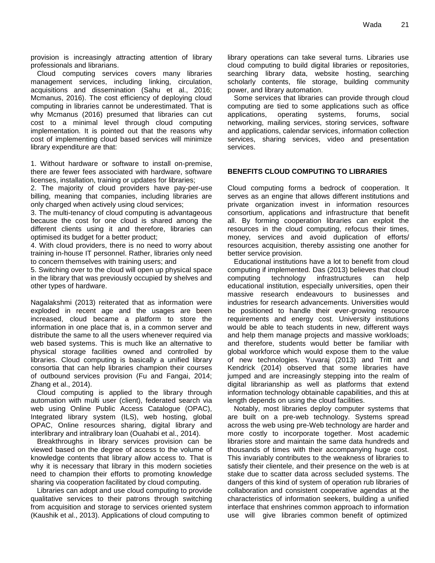provision is increasingly attracting attention of library professionals and librarians.

Cloud computing services covers many libraries management services, including linking, circulation, acquisitions and dissemination (Sahu et al., 2016; Mcmanus, 2016). The cost efficiency of deploying cloud computing in libraries cannot be underestimated. That is why Mcmanus (2016) presumed that libraries can cut cost to a minimal level through cloud computing implementation. It is pointed out that the reasons why cost of implementing cloud based services will minimize library expenditure are that:

1. Without hardware or software to install on-premise, there are fewer fees associated with hardware, software licenses, installation, training or updates for libraries;

2. The majority of cloud providers have pay-per-use billing, meaning that companies, including libraries are only charged when actively using cloud services;

3. The multi-tenancy of cloud computing is advantageous because the cost for one cloud is shared among the different clients using it and therefore, libraries can optimised its budget for a better product;

4. With cloud providers, there is no need to worry about training in-house IT personnel. Rather, libraries only need to concern themselves with training users; and

5. Switching over to the cloud will open up physical space in the library that was previously occupied by shelves and other types of hardware.

Nagalakshmi (2013) reiterated that as information were exploded in recent age and the usages are been increased, cloud became a platform to store the information in one place that is, in a common server and distribute the same to all the users whenever required via web based systems. This is much like an alternative to physical storage facilities owned and controlled by libraries. Cloud computing is basically a unified library consortia that can help libraries champion their courses of outbound services provision (Fu and Fangai, 2014; Zhang et al., 2014).

Cloud computing is applied to the library through automation with multi user (client), federated search via web using Online Public Access Catalogue (OPAC), Integrated library system (ILS), web hosting, global OPAC, Online resources sharing, digital library and interlibrary and intralibrary loan (Ouahabi et al., 2014).

Breakthroughs in library services provision can be viewed based on the degree of access to the volume of knowledge contents that library allow access to. That is why it is necessary that library in this modern societies need to champion their efforts to promoting knowledge sharing via cooperation facilitated by cloud computing.

Libraries can adopt and use cloud computing to provide qualitative services to their patrons through switching from acquisition and storage to services oriented system (Kaushik et al., 2013). Applications of cloud computing to

library operations can take several turns. Libraries use cloud computing to build digital libraries or repositories, searching library data, website hosting, searching scholarly contents, file storage, building community power, and library automation.

Some services that libraries can provide through cloud computing are tied to some applications such as office applications, operating systems, forums, social networking, mailing services, storing services, software and applications, calendar services, information collection services, sharing services, video and presentation services.

### **BENEFITS CLOUD COMPUTING TO LIBRARIES**

Cloud computing forms a bedrock of cooperation. It serves as an engine that allows different institutions and private organization invest in information resources consortium, applications and infrastructure that benefit all. By forming cooperation libraries can exploit the resources in the cloud computing, refocus their times, money, services and avoid duplication of efforts/ resources acquisition, thereby assisting one another for better service provision.

Educational institutions have a lot to benefit from cloud computing if implemented. Das (2013) believes that cloud computing technology infrastructures can help educational institution, especially universities, open their massive research endeavours to businesses and industries for research advancements. Universities would be positioned to handle their ever-growing resource requirements and energy cost. University institutions would be able to teach students in new, different ways and help them manage projects and massive workloads; and therefore, students would better be familiar with global workforce which would expose them to the value of new technologies. Yuvaraj (2013) and Tritt and Kendrick (2014) observed that some libraries have jumped and are increasingly stepping into the realm of digital librarianship as well as platforms that extend information technology obtainable capabilities, and this at length depends on using the cloud facilities.

Notably, most libraries deploy computer systems that are built on a pre-web technology. Systems spread across the web using pre-Web technology are harder and more costly to incorporate together. Most academic libraries store and maintain the same data hundreds and thousands of times with their accompanying huge cost. This invariably contributes to the weakness of libraries to satisfy their clientele, and their presence on the web is at stake due to scatter data across secluded systems. The dangers of this kind of system of operation rub libraries of collaboration and consistent cooperative agendas at the characteristics of information seekers, building a unified interface that enshrines common approach to information use will give libraries common benefit of optimized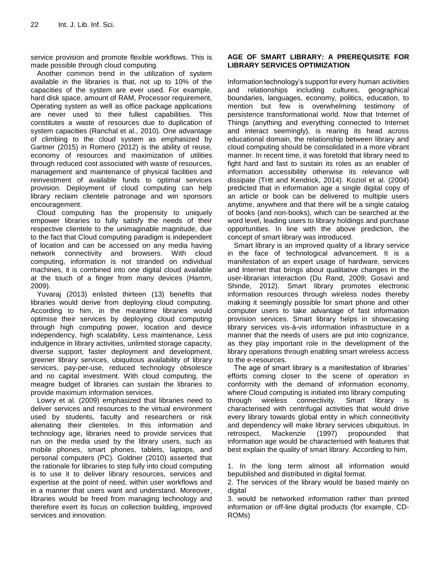service provision and promote flexible workflows. This is made possible through cloud computing.

Another common trend in the utilization of system available in the libraries is that, not up to 10% of the capacities of the system are ever used. For example, hard disk space, amount of RAM, Processor requirement, Operating system as well as office package applications are never used to their fullest capabilities. This constitutes a waste of resources due to duplication of system capacities (Ranchal et al., 2010). One advantage of climbing to the cloud system as emphasized by Gartner (2015) in Romero (2012) is the ability of reuse, economy of resources and maximization of utilities through reduced cost associated with waste of resources, management and maintenance of physical facilities and reinvestment of available funds to optimal services provision. Deployment of cloud computing can help library reclaim clientele patronage and win sponsors encouragement.

Cloud computing has the propensity to uniquely empower libraries to fully satisfy the needs of their respective clientele to the unimaginable magnitude, due to the fact that Cloud computing paradigm is independent of location and can be accessed on any media having network connectivity and browsers. With cloud computing, information is not stranded on individual machines, it is combined into one digital cloud available at the touch of a finger from many devices (Hamm, 2009).

Yuvaraj (2013) enlisted thirteen (13) benefits that libraries would derive from deploying cloud computing. According to him, in the meantime libraries would optimise their services by deploying cloud computing through high computing power, location and device independency, high scalability, Less maintenance, Less indulgence in library activities, unlimited storage capacity, diverse support, faster deployment and development, greener library services, ubiquitous availability of library services, pay-per-use, reduced technology obsolesce and no capital investment. With cloud computing, the meagre budget of libraries can sustain the libraries to provide maximum information services.

Lowry et al. (2009) emphasized that libraries need to deliver services and resources to the virtual environment used by students, faculty and researchers or risk alienating their clienteles. In this information and technology age, libraries need to provide services that run on the media used by the library users, such as mobile phones, smart phones, tablets, laptops, and personal computers (PC). Goldner (2010) asserted that the rationale for libraries to step fully into cloud computing is to use it to deliver library resources, services and expertise at the point of need, within user workflows and in a manner that users want and understand. Moreover, libraries would be freed from managing technology and therefore exert its focus on collection building, improved services and innovation.

# **AGE OF SMART LIBRARY: A PREREQUISITE FOR LIBRARY SERVICES OPTIMIZATION**

Information technology's support for every human activities and relationships including cultures, geographical boundaries, languages, economy, politics, education, to mention but few is overwhelming testimony of persistence transformational world. Now that Internet of Things (anything and everything connected to Internet and interact seemingly), is rearing its head across educational domain, the relationship between library and cloud computing should be consolidated in a more vibrant manner. In recent time, it was foretold that library need to fight hard and fast to sustain its roles as an enabler of information accessibility otherwise its relevance will dissipate (Tritt and Kendrick, 2014). Koziol et al. (2004) predicted that in information age a single digital copy of an article or book can be delivered to multiple users anytime, anywhere and that there will be a single catalog of books (and non-books), which can be searched at the word level, leading users to library holdings and purchase opportunities. In line with the above prediction, the concept of smart library was introduced.

Smart library is an improved quality of a library service in the face of technological advancement. It is a manifestation of an expert usage of hardware, services and Internet that brings about qualitative changes in the user-librarian interaction (Du Rand, 2009; Gosavi and Shinde, 2012). Smart library promotes electronic information resources through wireless nodes thereby making it seemingly possible for smart phone and other computer users to take advantage of fast information provision services. Smart library helps in showcasing library services vis-à-vis information infrastructure in a manner that the needs of users are put into cognizance, as they play important role in the development of the library operations through enabling smart wireless access to the e-resources.

The age of smart library is a manifestation of libraries' efforts coming closer to the scene of operation in conformity with the demand of information economy, where Cloud computing is initiated into library computing through wireless connectivity. Smart library is characterised with centrifugal activities that would drive every library towards global entity in which connecitivity and dependency will make library services ubiquitous. In retrospect, Mackenzie (1997) propounded that information age would be characterised with features that best explain the quality of smart library. According to him,

1. In the long term almost all information would bepublished and distributed in digital format.

2. The services of the library would be based mainly on digital

3. would be networked information rather than printed information or off-line digital products (for example, CD-ROMs)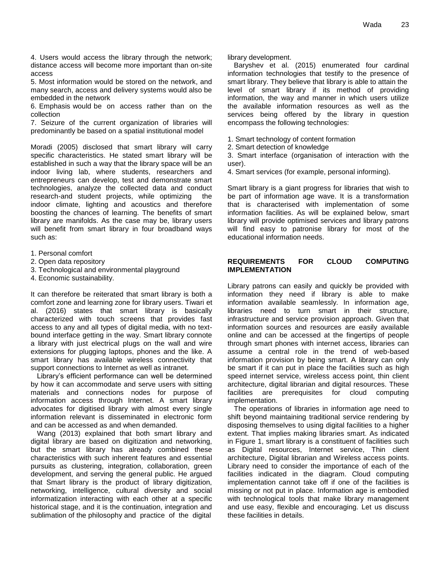4. Users would access the library through the network; distance access will become more important than on-site access

5. Most information would be stored on the network, and many search, access and delivery systems would also be embedded in the network

6. Emphasis would be on access rather than on the collection

7. Seizure of the current organization of libraries will predominantly be based on a spatial institutional model

Moradi (2005) disclosed that smart library will carry specific characteristics. He stated smart library will be established in such a way that the library space will be an indoor living lab, where students, researchers and entrepreneurs can develop, test and demonstrate smart technologies, analyze the collected data and conduct research-and student projects, while optimizing the indoor climate, lighting and acoustics and therefore boosting the chances of learning. The benefits of smart library are manifolds. As the case may be, library users will benefit from smart library in four broadband ways such as:

- 1. Personal comfort
- 2. Open data repository
- 3. Technological and environmental playground
- 4. Economic sustainability.

It can therefore be reiterated that smart library is both a comfort zone and learning zone for library users. Tiwari et al. (2016) states that smart library is basically characterized with touch screens that provides fast access to any and all types of digital media, with no textbound interface getting in the way. Smart library connote a library with just electrical plugs on the wall and wire extensions for plugging laptops, phones and the like. A smart library has available wireless connectivity that support connections to Internet as well as intranet.

Library's efficient performance can well be determined by how it can accommodate and serve users with sitting materials and connections nodes for purpose of information access through Internet. A smart library advocates for digitised library with almost every single information relevant is disseminated in electronic form and can be accessed as and when demanded.

Wang (2013) explained that both smart library and digital library are based on digitization and networking, but the smart library has already combined these characteristics with such inherent features and essential pursuits as clustering, integration, collaboration, green development, and serving the general public. He argued that Smart library is the product of library digitization, networking, intelligence, cultural diversity and social informatization interacting with each other at a specific historical stage, and it is the continuation, integration and sublimation of the philosophy and practice of the digital

library development.

Baryshev et al. (2015) enumerated four cardinal information technologies that testify to the presence of smart library. They believe that library is able to attain the level of smart library if its method of providing information, the way and manner in which users utilize the available information resources as well as the services being offered by the library in question encompass the following technologies:

- 1. Smart technology of content formation
- 2. Smart detection of knowledge

3. Smart interface (organisation of interaction with the user).

4. Smart services (for example, personal informing).

Smart library is a giant progress for libraries that wish to be part of information age wave. It is a transformation that is characterised with implementation of some information facilities. As will be explained below, smart library will provide optimised services and library patrons will find easy to patronise library for most of the educational information needs.

# **REQUIREMENTS FOR CLOUD COMPUTING IMPLEMENTATION**

Library patrons can easily and quickly be provided with information they need if library is able to make information available seamlessly. In information age, libraries need to turn smart in their structure, infrastructure and service provision approach. Given that information sources and resources are easily available online and can be accessed at the fingertips of people through smart phones with internet access, libraries can assume a central role in the trend of web-based information provision by being smart. A library can only be smart if it can put in place the facilities such as high speed internet service, wireless access point, thin client architecture, digital librarian and digital resources. These facilities are prerequisites for cloud computing implementation.

The operations of libraries in information age need to shift beyond maintaining traditional service rendering by disposing themselves to using digital facilities to a higher extent. That implies making libraries smart. As indicated in Figure 1, smart library is a constituent of facilities such as Digital resources, Internet service, Thin client architecture, Digital librarian and Wireless access points. Library need to consider the importance of each of the facilities indicated in the diagram. Cloud computing implementation cannot take off if one of the facilities is missing or not put in place. Information age is embodied with technological tools that make library management and use easy, flexible and encouraging. Let us discuss these facilities in details.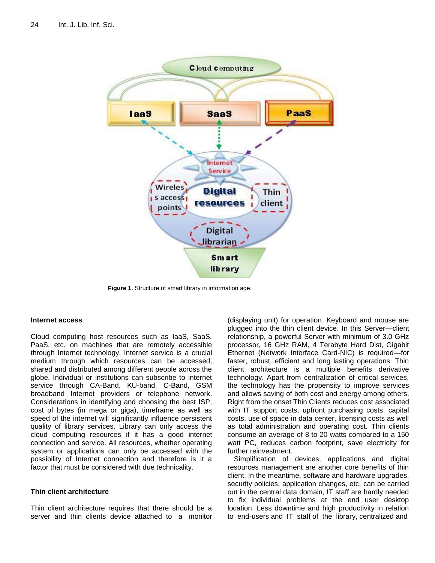

**Figure 1.** Structure of smart library in information age.

#### **Internet access**

Cloud computing host resources such as IaaS, SaaS, PaaS, etc. on machines that are remotely accessible through Internet technology. Internet service is a crucial medium through which resources can be accessed, shared and distributed among different people across the globe. Individual or institutions can subscribe to internet service through CA-Band, KU-band, C-Band, GSM broadband Internet providers or telephone network. Considerations in identifying and choosing the best ISP, cost of bytes (in mega or giga), timeframe as well as speed of the internet will significantly influence persistent quality of library services. Library can only access the cloud computing resources if it has a good internet connection and service. All resources, whether operating system or applications can only be accessed with the possibility of Internet connection and therefore is it a factor that must be considered with due technicality.

#### **Thin client architecture**

Thin client architecture requires that there should be a server and thin clients device attached to a monitor (displaying unit) for operation. Keyboard and mouse are plugged into the thin client device. In this Server—client relationship, a powerful Server with minimum of 3.0 GHz processor, 16 GHz RAM, 4 Terabyte Hard Dist, Gigabit Ethernet (Network Interface Card-NIC) is required—for faster, robust, efficient and long lasting operations. Thin client architecture is a multiple benefits derivative technology. Apart from centralization of critical services, the technology has the propensity to improve services and allows saving of both cost and energy among others. Right from the onset Thin Clients reduces cost associated with IT support costs, upfront purchasing costs, capital costs, use of space in data center, licensing costs as well as total administration and operating cost. Thin clients consume an average of 8 to 20 watts compared to a 150 watt PC, reduces carbon footprint, save electricity for further reinvestment.

Simplification of devices, applications and digital resources management are another core benefits of thin client. In the meantime, software and hardware upgrades, security policies, application changes, etc. can be carried out in the central data domain, IT staff are hardly needed to fix individual problems at the end user desktop location. Less downtime and high productivity in relation to end-users and IT staff of the library, centralized and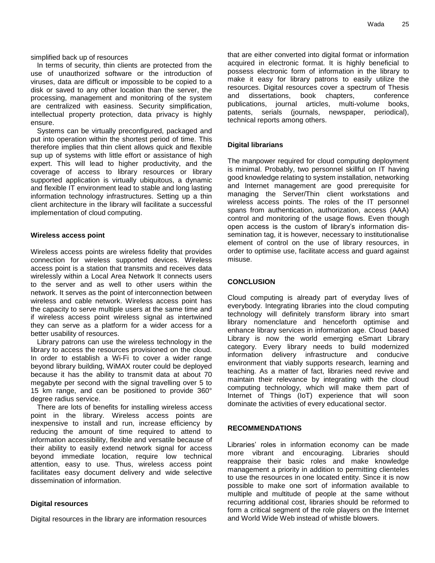simplified back up of resources

In terms of security, thin clients are protected from the use of unauthorized software or the introduction of viruses, data are difficult or impossible to be copied to a disk or saved to any other location than the server, the processing, management and monitoring of the system are centralized with easiness. Security simplification, intellectual property protection, data privacy is highly ensure.

Systems can be virtually preconfigured, packaged and put into operation within the shortest period of time. This therefore implies that thin client allows quick and flexible sup up of systems with little effort or assistance of high expert. This will lead to higher productivity, and the coverage of access to library resources or library supported application is virtually ubiquitous, a dynamic and flexible IT environment lead to stable and long lasting information technology infrastructures. Setting up a thin client architecture in the library will facilitate a successful implementation of cloud computing.

#### **Wireless access point**

Wireless access points are wireless fidelity that provides connection for wireless supported devices. Wireless access point is a station that transmits and receives data wirelessly within a Local Area Network It connects users to the server and as well to other users within the network. It serves as the point of interconnection between wireless and cable network. Wireless access point has the capacity to serve multiple users at the same time and if wireless access point wireless signal as intertwined they can serve as a platform for a wider access for a better usability of resources.

Library patrons can use the wireless technology in the library to access the resources provisioned on the cloud. In order to establish a Wi-Fi to cover a wider range beyond library building, WiMAX router could be deployed because it has the ability to transmit data at about 70 megabyte per second with the signal travelling over 5 to 15 km range, and can be positioned to provide 360° degree radius service.

There are lots of benefits for installing wireless access point in the library. Wireless access points are inexpensive to install and run, increase efficiency by reducing the amount of time required to attend to information accessibility, flexible and versatile because of their ability to easily extend network signal for access beyond immediate location, require low technical attention, easy to use. Thus, wireless access point facilitates easy document delivery and wide selective dissemination of information.

#### **Digital resources**

Digital resources in the library are information resources

that are either converted into digital format or information acquired in electronic format. It is highly beneficial to possess electronic form of information in the library to make it easy for library patrons to easily utilize the resources. Digital resources cover a spectrum of Thesis and dissertations, book chapters, conference publications, journal articles, multi-volume books, patents, serials (journals, newspaper, periodical), technical reports among others.

#### **Digital librarians**

The manpower required for cloud computing deployment is minimal. Probably, two personnel skillful on IT having good knowledge relating to system installation, networking and Internet management are good prerequisite for managing the Server/Thin client workstations and wireless access points. The roles of the IT personnel spans from authentication, authorization, access (AAA) control and monitoring of the usage flows. Even though open access is the custom of library's information dissemination tag, it is however, necessary to institutionalise element of control on the use of library resources, in order to optimise use, facilitate access and guard against misuse.

#### **CONCLUSION**

Cloud computing is already part of everyday lives of everybody. Integrating libraries into the cloud computing technology will definitely transform library into smart library nomenclature and henceforth optimise and enhance library services in information age. Cloud based Library is now the world emerging eSmart Library category. Every library needs to build modernized information delivery infrastructure and conducive environment that viably supports research, learning and teaching. As a matter of fact, libraries need revive and maintain their relevance by integrating with the cloud computing technology, which will make them part of Internet of Things (IoT) experience that will soon dominate the activities of every educational sector.

#### **RECOMMENDATIONS**

Libraries' roles in information economy can be made more vibrant and encouraging. Libraries should reappraise their basic roles and make knowledge management a priority in addition to permitting clienteles to use the resources in one located entity. Since it is now possible to make one sort of information available to multiple and multitude of people at the same without recurring additional cost, libraries should be reformed to form a critical segment of the role players on the Internet and World Wide Web instead of whistle blowers.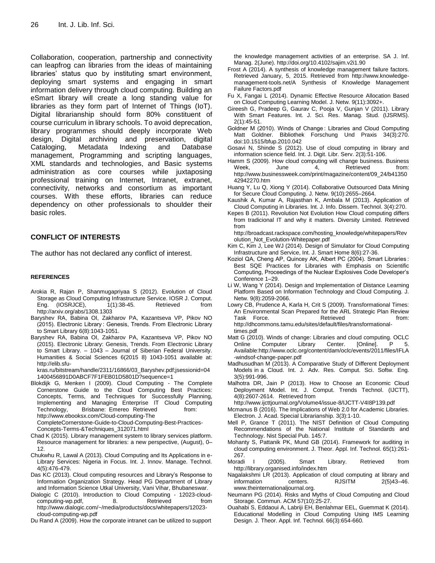Collaboration, cooperation, partnership and connectivity can leapfrog can libraries from the ideas of maintaining libraries' status quo by instituting smart environment, deploying smart systems and engaging in smart information delivery through cloud computing. Building an eSmart library will create a long standing value for libraries as they form part of Internet of Things (IoT). Digital librarianship should form 80% constituent of course curriculum in library schools. To avoid deprecation, library programmes should deeply incorporate Web design, Digital archiving and preservation, digital Cataloging, Metadata Indexing and Database management, Programming and scripting languages, XML standards and technologies, and Basic systems administration as core courses while juxtaposing professional training on Internet, Intranet, extranet, connectivity, networks and consortium as important courses. With these efforts, libraries can reduce dependency on other professionals to shoulder their basic roles.

### **CONFLICT OF INTERESTS**

The author has not declared any conflict of interest.

#### **REFERENCES**

- Arokia R, Rajan P, Shanmugapriyaa S (2012). Evolution of Cloud Storage as Cloud Computing Infrastructure Service. IOSR J. Comput. Eng. (IOSRJCE), 1(1):38-45. Retrieved from http://arxiv.org/abs/1308.1303
- Baryshev RA, Babina OI, Zakharov PA, Kazantseva VP, Pikov NO (2015). Electronic Library : Genesis, Trends. From Electronic Library to Smart Library 6(8):1043-1051.
- Baryshev RA, Babina OI, Zakharov PA, Kazantseva VP, Pikov NO (2015). Electronic Library: Genesis, Trends. From Electronic Library to Smart Library. – 1043 – Journal of Siberian Federal University. Humanities & Social Sciences 6(2015 8) 1043-1051 available at: http://elib.sfu-

kras.ru/bitstream/handle/2311/16866/03\_Baryshev.pdf;jsessionid=04 1400456891D0ABCF7F1FEB01D5801D?sequence=1

Blokdijk G, Menken I (2009). Cloud Computing - The Complete Cornerstone Guide to the Cloud Computing Best Practices: Concepts, Terms, and Techniques for Successfully Planning, Implementing and Managing Enterprise IT Cloud Computing<br>Technology, Brisbane: Emereo Retrieved from: Brisbane: Emereo Retrieved from: http://www.ebooksx.com/Cloud-computing-The

CompleteCornerstone-Guide-to-Cloud-Computing-Best-Practices-Concepts-Terms-&Techniques\_312071.html

- Chad K (2015). Library management system to library services platform. Resource management for libraries: a new perspective, (August), 0– 12.
- Chukwhu R, Lawal A (2013). Cloud Computing and Its Applications in e-Library Services: Nigeria in Focus. Int. J. Innov. Manage. Technol. 4(5):476-479.
- Das KC (2013). Cloud computing resources and Library's Response to Information Organization Strategy. Head PG Department of Library and Information Science Utkal University, Vani Vihar, Bhubaneswar.
- Dialogic C (2010). Introduction to Cloud Computing 12023-cloudcomputing-wp.pdf, 8. Retrieved from http://www.dialogic.com/~/media/products/docs/whitepapers/12023 cloud-computing-wp.pdf

Du Rand A (2009). How the corporate intranet can be utilized to support

the knowledge management activities of an enterprise. SA J. Inf. Manag. 2(June). http://doi.org/10.4102/sajim.v2i1.90

- Frost A (2014). A synthesis of knowledge management failure factors. Retrieved January, 5, 2015. Retrieved from http://www.knowledgemanagement-tools.net/A Synthesis of Knowledge Management Failure Factors.pdf
- Fu X, Fangai L (2014). Dynamic Effective Resource Allocation Based on Cloud Computing Learning Model. J. Netw. 9(11):3092+.
- Gireesh G, Pradeep G, Gaurav C, Pooja V, Gunjan V (2011). Library With Smart Features. Int. J. Sci. Res. Manag. Stud. (IJSRMS). 2(1):45-51.
- Goldner M (2010). Winds of Change : Libraries and Cloud Computing Matt Goldner. Bibliothek Forschung Und Praxis 34(3):270. doi:10.1515/bfup.2010.042
- Gosavi N, Shinde S (2012). Use of cloud computing in library and information science field. Int. J. Digit. Libr. Serv. 2(3):51-106.
- Hamm S (2009). How cloud computing will change business. Business Week, June 4, Retrieved from: http://www.businessweek.com/print/magazine/content/09\_24/b41350 42942270.htm
- Huang Y, Lu Q, Xiong Y (2014). Collaborative Outsourced Data Mining for Secure Cloud Computing. J. Netw. 9(10):2655–2664.
- Kaushik A, Kumar A, Rajasthan K, Ambala M (2013). Application of Cloud Computing in Libraries. Int. J. Info. Dissem. Technol. 3(4):270.
- Kepes B (2011). Revolution Not Evolution How Cloud computing differs from tradicional IT and why it matters. Diversity Limited. Retrieved from

http://broadcast.rackspace.com/hosting\_knowledge/whitepapers/Rev olution\_Not\_Evolution-Whitepaper.pdf

- Kim C, Kim J, Lee WJ (2014). Design of Simulator for Cloud Computing Infrastructure and Service, Int. J. Smart Home 8(6):27-36.
- Koziol QA, Cheng AP, Quincey AK, Albert PC (2004). Smart Libraries : Best SQE Practices for Libraries with Emphasis on Scientific Computing, Proceedings of the Nuclear Explosives Code Developer's Conference 1–29.
- Li W, Wang Y (2014). Design and Implementation of Distance Learning Platform Based on Information Technology and Cloud Computing. J. Netw. 9(8):2059-2066.
- Lowry CB, Prudence A, Karla H, Crit S (2009). Transformational Times: An Environmental Scan Prepared for the ARL Strategic Plan Review Task Force **Retrieved Retrieved** from: http://dhcommons.tamu.edu/sites/default/files/transformationaltimes.pdf
- Matt G (2010). Winds of change: Libraries and cloud computing. OCLC Online Computer Library Center. [Online]. P 5. Available:http://www.oclc.org/content/dam/oclc/events/2011/files/IFLA -windsof-change-paper.pdf
- Madhusudhan M (2013). A Comparative Study of Different Deployment Models in a Cloud. Int. J. Adv. Res. Comput. Sci. Softw. Eng. 3(5):991-996.
- Malhotra DR, Jain P (2013). How to Choose an Economic Cloud Deployment Model. Int. J. Comput. Trends Technol. (IJCTT), 4(8):2607-2614. Retrieved from

http://www.ijcttjournal.org/Volume4/issue-8/IJCTT-V4I8P139.pdf

- Mcmanus B (2016). The Implications of Web 2.0 for Academic Libraries. Electron. J. Acad. Special Librarianship. 3(3):1-10.
- Mell P, Grance T (2011). The NIST Definition of Cloud Computing Recommendations of the National Institute of Standards and Technology. Nist Special Pub. 145:7.
- Mohanty S, Pattanik PK, Mund GB (2014). Framework for auditing in cloud computing environment. J. Theor. Appl. Inf. Technol. 65(1):261- 267.
- Moradi I (2005). Smart Library. Retrieved from http://library.organised.info/index.htm
- Nagalakshmi LR (2013). Application of cloud computing at library and information centers. RJSITM 2(5)43–46. www.theinternationaljournal.org.
- Neumann PG (2014). Risks and Myths of Cloud Computing and Cloud Storage. Commun. ACM 57(10):25-27.
- Ouahabi S, Eddaoui A, Labriji EH, Benlahmar EEL, Guemmat K (2014). Educational Modelling in Cloud Computing Using IMS Learning Design. J. Theor. Appl. Inf. Technol. 66(3):654-660.